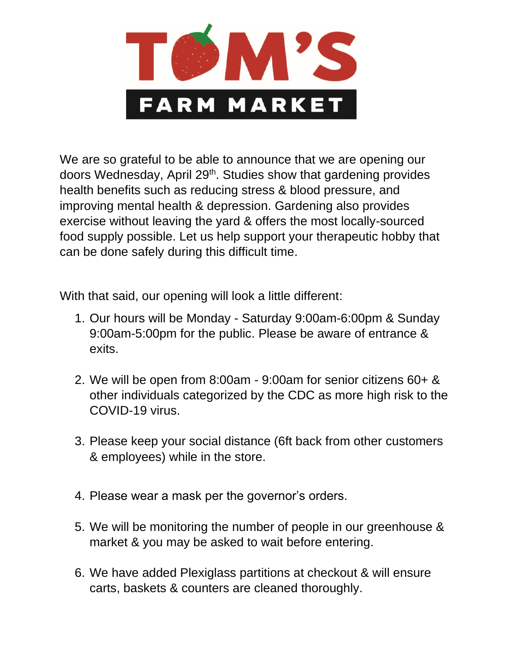

We are so grateful to be able to announce that we are opening our doors Wednesday, April 29<sup>th</sup>. Studies show that gardening provides health benefits such as reducing stress & blood pressure, and improving mental health & depression. Gardening also provides exercise without leaving the yard & offers the most locally-sourced food supply possible. Let us help support your therapeutic hobby that can be done safely during this difficult time.

With that said, our opening will look a little different:

- 1. Our hours will be Monday Saturday 9:00am-6:00pm & Sunday 9:00am-5:00pm for the public. Please be aware of entrance & exits.
- 2. We will be open from 8:00am 9:00am for senior citizens 60+ & other individuals categorized by the CDC as more high risk to the COVID-19 virus.
- 3. Please keep your social distance (6ft back from other customers & employees) while in the store.
- 4. Please wear a mask per the governor's orders.
- 5. We will be monitoring the number of people in our greenhouse & market & you may be asked to wait before entering.
- 6. We have added Plexiglass partitions at checkout & will ensure carts, baskets & counters are cleaned thoroughly.